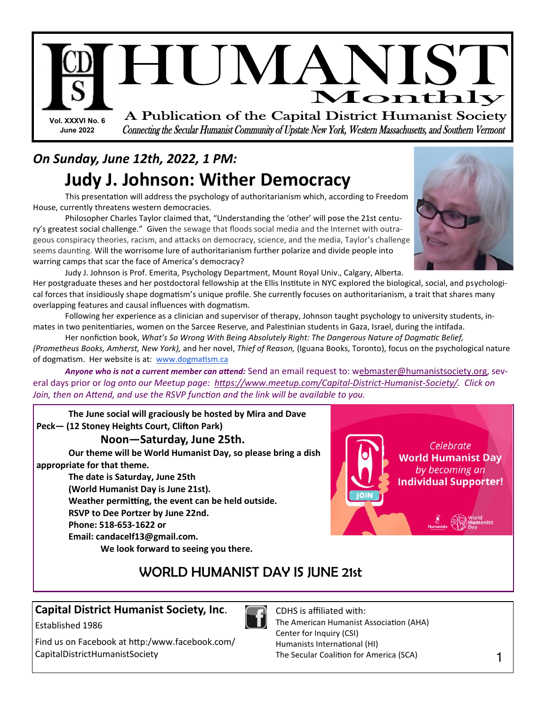

# *On Sunday, June 12th, 2022, 1 PM:*  **Judy J. Johnson: Wither Democracy**

This presentation will address the psychology of authoritarianism which, according to Freedom House, currently threatens western democracies.

Philosopher Charles Taylor claimed that, "Understanding the 'other' will pose the 21st century's greatest social challenge." Given the sewage that floods social media and the Internet with outrageous conspiracy theories, racism, and attacks on democracy, science, and the media, Taylor's challenge seems daunting. Will the worrisome lure of authoritarianism further polarize and divide people into warring camps that scar the face of America's democracy?



Judy J. Johnson is Prof. Emerita, Psychology Department, Mount Royal Univ., Calgary, Alberta. Her postgraduate theses and her postdoctoral fellowship at the Ellis Institute in NYC explored the biological, social, and psychological forces that insidiously shape dogmatism's unique profile. She currently focuses on authoritarianism, a trait that shares many overlapping features and causal influences with dogmatism.

Following her experience as a clinician and supervisor of therapy, Johnson taught psychology to university students, inmates in two penitentiaries, women on the Sarcee Reserve, and Palestinian students in Gaza, Israel, during the intifada.

Her nonfiction book, *What's So Wrong With Being Absolutely Right: The Dangerous Nature of Dogmatic Belief, (Prometheus Books, Amherst, New York),* and her novel, *Thief of Reason,* (Iguana Books, Toronto), focus on the psychological nature of dogmatism. Her website is at: [www.dogmatism.ca](http://www.dogmatism.ca/)

*Anyone who is not a current member can attend:* Send an email request to: w[ebmaster@humanistsociety.org,](mailto:Webmaster@humanistsociety.org) several days prior or *log onto our Meetup page: [https://www.meetup.com/Capital](https://www.meetup.com/Capital-District-Humanist-Society/)-District-Humanist-Society/. Click on Join, then on Attend, and use the RSVP function and the link will be available to you.*

**The June social will graciously be hosted by Mira and Dave Peck— (12 Stoney Heights Court, Clifton Park)** 

#### **Noon—Saturday, June 25th.**

**Our theme will be World Humanist Day, so please bring a dish appropriate for that theme.**

> **The date is Saturday, June 25th (World Humanist Day is June 21st). Weather permitting, the event can be held outside. RSVP to Dee Portzer by June 22nd. Phone: 518-653-1622 or Email: candacelf13@gmail.com. We look forward to seeing you there.**



# WORLD HUMANIST DAY IS JUNE 21st

# **Capital District Humanist Society, Inc**.

Established 1986



CDHS is affiliated with: The American Humanist Association (AHA) Center for Inquiry (CSI) Humanists International (HI) The Secular Coalition for America (SCA) 1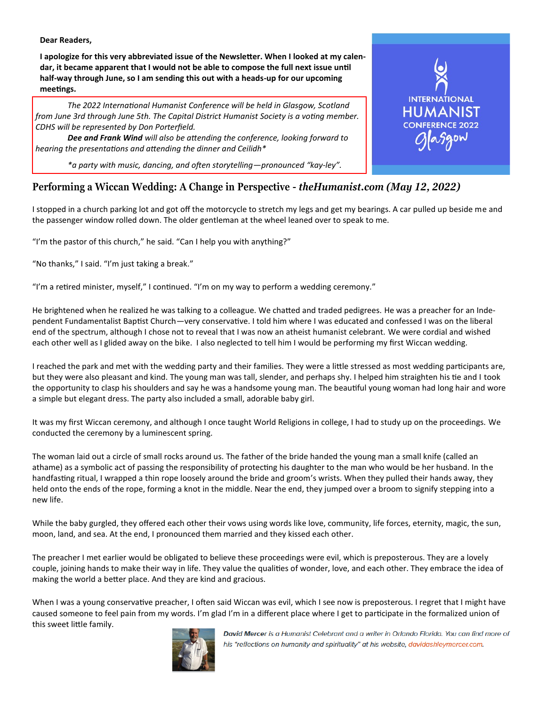**Dear Readers,**

**I apologize for this very abbreviated issue of the Newsletter. When I looked at my calendar, it became apparent that I would not be able to compose the full next issue until half-way through June, so I am sending this out with a heads-up for our upcoming meetings.**

*The 2022 International Humanist Conference will be held in Glasgow, Scotland from June 3rd through June 5th. The Capital District Humanist Society is a voting member. CDHS will be represented by Don Porterfield.* 

*Dee and Frank Wind will also be attending the conference, looking forward to hearing the presentations and attending the dinner and Ceilidh\**

*\*a party with music, dancing, and often storytelling—pronounced "kay-ley".*

### **Performing a Wiccan Wedding: A Change in Perspective -** *theHumanist.com (May 12, 2022)*

I stopped in a church parking lot and got off the motorcycle to stretch my legs and get my bearings. A car pulled up beside me and the passenger window rolled down. The older gentleman at the wheel leaned over to speak to me.

"I'm the pastor of this church," he said. "Can I help you with anything?"

"No thanks," I said. "I'm just taking a break."

"I'm a retired minister, myself," I continued. "I'm on my way to perform a wedding ceremony."

He brightened when he realized he was talking to a colleague. We chatted and traded pedigrees. He was a preacher for an Independent Fundamentalist Baptist Church—very conservative. I told him where I was educated and confessed I was on the liberal end of the spectrum, although I chose not to reveal that I was now an atheist humanist celebrant. We were cordial and wished each other well as I glided away on the bike. I also neglected to tell him I would be performing my first Wiccan wedding.

I reached the park and met with the wedding party and their families. They were a little stressed as most wedding participants are, but they were also pleasant and kind. The young man was tall, slender, and perhaps shy. I helped him straighten his tie and I took the opportunity to clasp his shoulders and say he was a handsome young man. The beautiful young woman had long hair and wore a simple but elegant dress. The party also included a small, adorable baby girl.

It was my first Wiccan ceremony, and although I once taught World Religions in college, I had to study up on the proceedings. We conducted the ceremony by a luminescent spring.

The woman laid out a circle of small rocks around us. The father of the bride handed the young man a small knife (called an athame) as a symbolic act of passing the responsibility of protecting his daughter to the man who would be her husband. In the handfasting ritual, I wrapped a thin rope loosely around the bride and groom's wrists. When they pulled their hands away, they held onto the ends of the rope, forming a knot in the middle. Near the end, they jumped over a broom to signify stepping into a new life.

While the baby gurgled, they offered each other their vows using words like love, community, life forces, eternity, magic, the sun, moon, land, and sea. At the end, I pronounced them married and they kissed each other.

The preacher I met earlier would be obligated to believe these proceedings were evil, which is preposterous. They are a lovely couple, joining hands to make their way in life. They value the qualities of wonder, love, and each other. They embrace the idea of making the world a better place. And they are kind and gracious.

When I was a young conservative preacher, I often said Wiccan was evil, which I see now is preposterous. I regret that I might have caused someone to feel pain from my words. I'm glad I'm in a different place where I get to participate in the formalized union of this sweet little family.



David Mercer is a Humanist Celebrant and a writer in Orlando Florida. You can find more of his "reflections on humanity and spirituality" at his website, davidashleymercer.com.

**INTERNATIONAL** 

HUMA